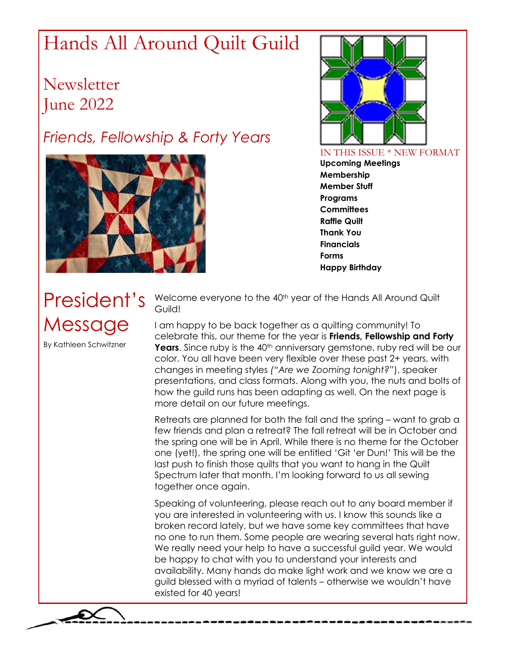# Hands All Around Quilt Guild

**Newsletter** June 2022

### *Friends, Fellowship & Forty Years*





IN THIS ISSUE \* NEW FORMAT **Upcoming Meetings Membership Member Stuff Programs Committees Raffle Quilt Thank You Financials Forms Happy Birthday**

# President's Message

By Kathleen Schwitzner

Welcome everyone to the 40<sup>th</sup> year of the Hands All Around Quilt Guild!

I am happy to be back together as a quilting community! To celebrate this, our theme for the year is **Friends, Fellowship and Forty Years**. Since ruby is the 40<sup>th</sup> anniversary gemstone, ruby red will be our color. You all have been very flexible over these past 2+ years, with changes in meeting styles *("Are we Zooming tonight?"*), speaker presentations, and class formats. Along with you, the nuts and bolts of how the guild runs has been adapting as well. On the next page is more detail on our future meetings.

Retreats are planned for both the fall and the spring – want to grab a few friends and plan a retreat? The fall retreat will be in October and the spring one will be in April. While there is no theme for the October one (yet!), the spring one will be entitled 'Git 'er Dun!' This will be the last push to finish those quilts that you want to hang in the Quilt Spectrum later that month. I'm looking forward to us all sewing together once again.

Speaking of volunteering, please reach out to any board member if you are interested in volunteering with us. I know this sounds like a broken record lately, but we have some key committees that have no one to run them. Some people are wearing several hats right now. We really need your help to have a successful guild year. We would be happy to chat with you to understand your interests and availability. Many hands do make light work and we know we are a guild blessed with a myriad of talents – otherwise we wouldn't have existed for 40 years!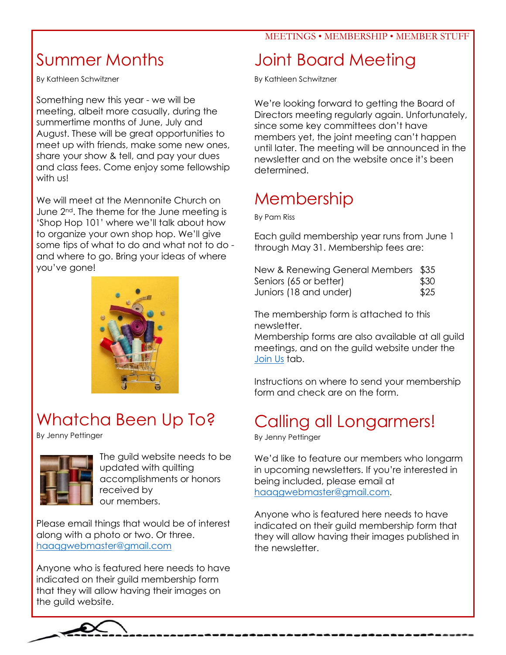## Summer Months

By Kathleen Schwitzner

Something new this year - we will be meeting, albeit more casually, during the summertime months of June, July and August. These will be great opportunities to meet up with friends, make some new ones, share your show & tell, and pay your dues and class fees. Come enjoy some fellowship with us!

We will meet at the Mennonite Church on June 2<sup>nd</sup>. The theme for the June meeting is 'Shop Hop 101' where we'll talk about how to organize your own shop hop. We'll give some tips of what to do and what not to do and where to go. Bring your ideas of where you've gone!



# Whatcha Been Up To?

By Jenny Pettinger



The guild website needs to be updated with quilting accomplishments or honors received by our members.

Please email things that would be of interest along with a photo or two. Or three. [haaqgwebmaster@gmail.com](mailto:haaqgwebmaster@gmail.com)

Anyone who is featured here needs to have indicated on their guild membership form that they will allow having their images on the guild website.

## Joint Board Meeting

By Kathleen Schwitzner

We're looking forward to getting the Board of Directors meeting regularly again. Unfortunately, since some key committees don't have members yet, the joint meeting can't happen until later. The meeting will be announced in the newsletter and on the website once it's been determined.

## Membership

By Pam Riss

Each guild membership year runs from June 1 through May 31. Membership fees are:

| New & Renewing General Members \$35 |      |
|-------------------------------------|------|
| Seniors (65 or better)              | \$30 |
| Juniors (18 and under)              | \$25 |

The membership form is attached to this newsletter.

Membership forms are also available at all guild meetings, and on the guild website under the [Join Us](https://www.haaqg.com/joinus.html) tab.

Instructions on where to send your membership form and check are on the form.

# Calling all Longarmers!

By Jenny Pettinger

We'd like to feature our members who longarm in upcoming newsletters. If you're interested in being included, please email at [haaqgwebmaster@gmail.com.](mailto:haaqgwebmaster@gmail.com)

Anyone who is featured here needs to have indicated on their guild membership form that they will allow having their images published in the newsletter.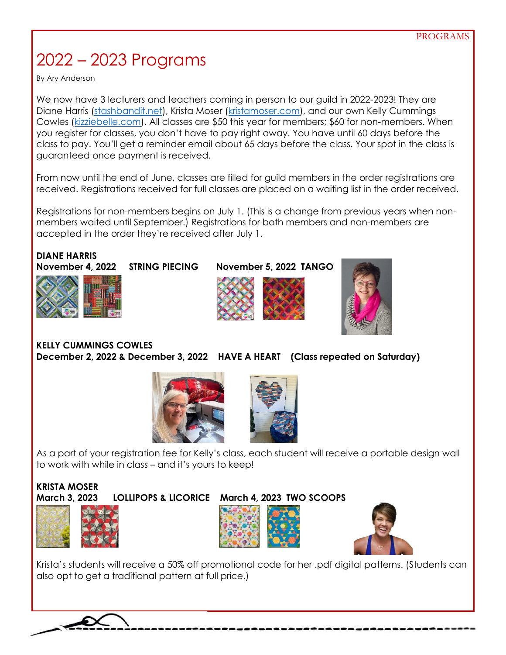# 2022 – 2023 Programs

By Ary Anderson

We now have 3 lecturers and teachers coming in person to our guild in 2022-2023! They are Diane Harris [\(stashbandit.net\)](https://stashbandit.net/), Krista Moser [\(kristamoser.com\)](https://www.kristamoser.com/), and our own Kelly Cummings Cowles [\(kizziebelle.com\)](file:///C:/Users/Jenny/Box%20Sync/0.0%20JENNY%20FILES/0.0%20Quilting%20(jennyp@awana.org)/2_Quilt%20Guild%2022-23/Website/Newsletter_Working%20Files/kizziebelle.com). All classes are \$50 this year for members; \$60 for non-members. When you register for classes, you don't have to pay right away. You have until 60 days before the class to pay. You'll get a reminder email about 65 days before the class. Your spot in the class is guaranteed once payment is received.

From now until the end of June, classes are filled for guild members in the order registrations are received. Registrations received for full classes are placed on a waiting list in the order received.

Registrations for non-members begins on July 1. (This is a change from previous years when nonmembers waited until September.) Registrations for both members and non-members are accepted in the order they're received after July 1.

**DIANE HARRIS November 4, 2022 STRING PIECING November 5, 2022 TANGO** 







**KELLY CUMMINGS COWLES December 2, 2022 & December 3, 2022 HAVE A HEART (Class repeated on Saturday)** 





As a part of your registration fee for Kelly's class, each student will receive a portable design wall to work with while in class – and it's yours to keep!

#### **KRISTA MOSER March 3, 2023 LOLLIPOPS & LICORICE March 4, 2023 TWO SCOOPS**









Krista's students will receive a 50% off promotional code for her .pdf digital patterns. (Students can also opt to get a traditional pattern at full price.)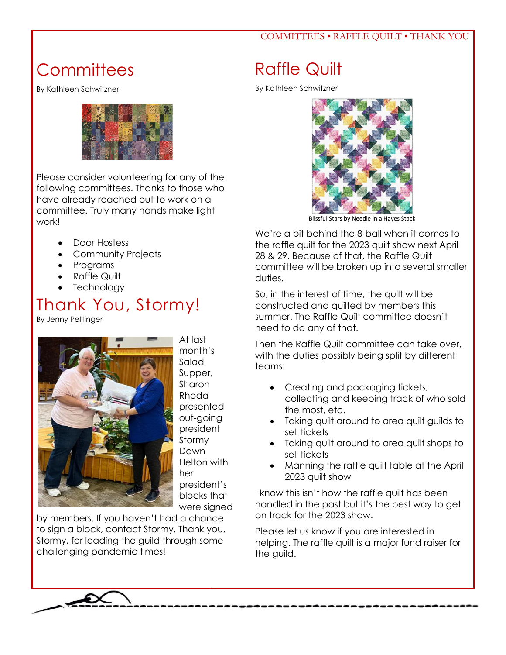#### COMMITTEES • RAFFLE QUILT • THANK YOU

## **Committees**

By Kathleen Schwitzner



Please consider volunteering for any of the following committees. Thanks to those who have already reached out to work on a committee. Truly many hands make light work!

- Door Hostess
- Community Projects
- Programs
- Raffle Quilt
- **Technology**

### Thank You, Stormy!

By Jenny Pettinger



At last month's Salad Supper, Sharon Rhoda presented out-going president Stormy Dawn Helton with her president's blocks that were signed

by members. If you haven't had a chance to sign a block, contact Stormy. Thank you, Stormy, for leading the guild through some challenging pandemic times!

## Raffle Quilt

By Kathleen Schwitzner



Blissful Stars by Needle in a Hayes Stack

We're a bit behind the 8-ball when it comes to the raffle quilt for the 2023 quilt show next April 28 & 29. Because of that, the Raffle Quilt committee will be broken up into several smaller duties.

So, in the interest of time, the quilt will be constructed and quilted by members this summer. The Raffle Quilt committee doesn't need to do any of that.

Then the Raffle Quilt committee can take over, with the duties possibly being split by different teams:

- Creating and packaging tickets; collecting and keeping track of who sold the most, etc.
- Taking quilt around to area quilt guilds to sell tickets
- Taking quilt around to area quilt shops to sell tickets
- Manning the raffle quilt table at the April 2023 quilt show

I know this isn't how the raffle quilt has been handled in the past but it's the best way to get on track for the 2023 show.

Please let us know if you are interested in helping. The raffle quilt is a major fund raiser for the guild.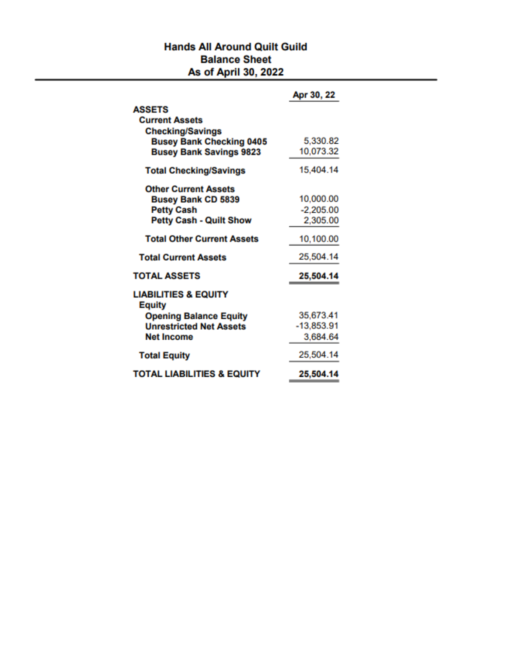#### **Hands All Around Quilt Guild Balance Sheet** As of April 30, 2022

|                                                  | Apr 30, 22   |
|--------------------------------------------------|--------------|
| <b>ASSETS</b>                                    |              |
| <b>Current Assets</b>                            |              |
| <b>Checking/Savings</b>                          |              |
| <b>Busey Bank Checking 0405</b>                  | 5,330.82     |
| <b>Busey Bank Savings 9823</b>                   | 10,073.32    |
| <b>Total Checking/Savings</b>                    | 15,404.14    |
| <b>Other Current Assets</b>                      |              |
| <b>Busey Bank CD 5839</b>                        | 10,000.00    |
| <b>Petty Cash</b>                                | $-2,205.00$  |
| <b>Petty Cash - Quilt Show</b>                   | 2,305.00     |
| <b>Total Other Current Assets</b>                | 10,100.00    |
| <b>Total Current Assets</b>                      | 25,504.14    |
| <b>TOTAL ASSETS</b>                              | 25,504.14    |
| <b>LIABILITIES &amp; EQUITY</b><br><b>Equity</b> |              |
| <b>Opening Balance Equity</b>                    | 35,673.41    |
| <b>Unrestricted Net Assets</b>                   | $-13,853.91$ |
| <b>Net Income</b>                                | 3,684.64     |
| <b>Total Equity</b>                              | 25,504.14    |
| <b>TOTAL LIABILITIES &amp; EQUITY</b>            | 25,504.14    |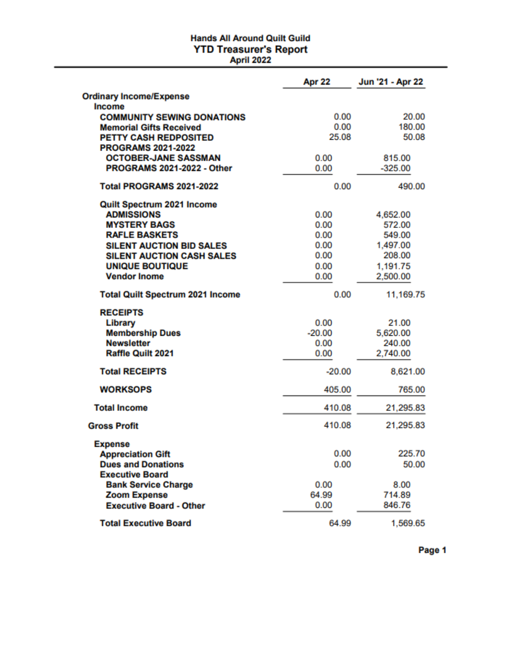### **Hands All Around Quilt Guild YTD Treasurer's Report**<br>April 2022

|                                                           | Apr 22       | Jun '21 - Apr 22 |
|-----------------------------------------------------------|--------------|------------------|
| <b>Ordinary Income/Expense</b>                            |              |                  |
| <b>Income</b>                                             |              |                  |
| <b>COMMUNITY SEWING DONATIONS</b>                         | 0.00         | 20.00            |
| <b>Memorial Gifts Received</b>                            | 0.00         | 180.00           |
| <b>PETTY CASH REDPOSITED</b>                              | 25.08        | 50.08            |
| <b>PROGRAMS 2021-2022</b>                                 |              |                  |
| <b>OCTOBER-JANE SASSMAN</b><br>PROGRAMS 2021-2022 - Other | 0.00<br>0.00 | 815.00           |
|                                                           |              | $-325.00$        |
| <b>Total PROGRAMS 2021-2022</b>                           | 0.00         | 490.00           |
| Quilt Spectrum 2021 Income                                |              |                  |
| <b>ADMISSIONS</b>                                         | 0.00         | 4,652.00         |
| <b>MYSTERY BAGS</b>                                       | 0.00         | 572.00           |
| <b>RAFLE BASKETS</b>                                      | 0.00         | 549.00           |
| <b>SILENT AUCTION BID SALES</b>                           | 0.00         | 1,497.00         |
| <b>SILENT AUCTION CASH SALES</b>                          | 0.00         | 208.00           |
| <b>UNIQUE BOUTIQUE</b>                                    | 0.00         | 1,191.75         |
| <b>Vendor Inome</b>                                       | 0.00         | 2,500.00         |
| <b>Total Quilt Spectrum 2021 Income</b>                   | 0.00         | 11,169.75        |
| <b>RECEIPTS</b>                                           |              |                  |
| Library                                                   | 0.00         | 21.00            |
| <b>Membership Dues</b>                                    | $-20.00$     | 5,620.00         |
| <b>Newsletter</b>                                         | 0.00         | 240.00           |
| <b>Raffle Quilt 2021</b>                                  | 0.00         | 2,740.00         |
| <b>Total RECEIPTS</b>                                     | $-20.00$     | 8,621.00         |
| <b>WORKSOPS</b>                                           | 405.00       | 765.00           |
| <b>Total Income</b>                                       | 410.08       | 21,295.83        |
| <b>Gross Profit</b>                                       | 410.08       | 21,295.83        |
| <b>Expense</b>                                            |              |                  |
| <b>Appreciation Gift</b>                                  | 0.00         | 225.70           |
| <b>Dues and Donations</b>                                 | 0.00         | 50.00            |
| <b>Executive Board</b>                                    |              |                  |
| <b>Bank Service Charge</b>                                | 0.00         | 8.00             |
| <b>Zoom Expense</b>                                       | 64.99        | 714.89           |
| <b>Executive Board - Other</b>                            | 0.00         | 846.76           |
| <b>Total Executive Board</b>                              | 64.99        | 1,569.65         |

Page 1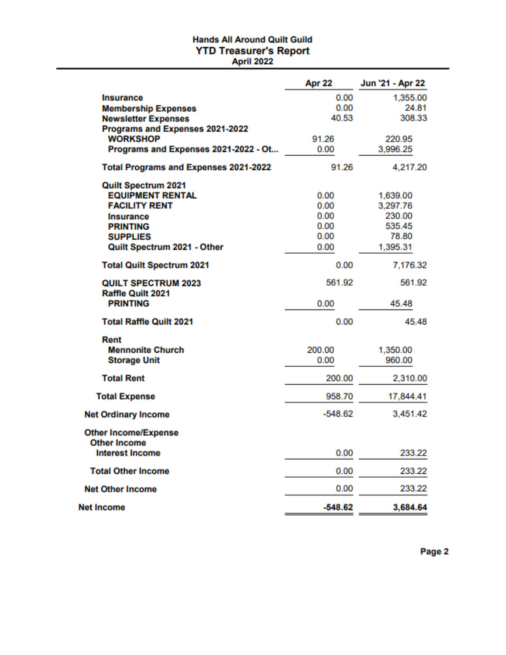### **Hands All Around Quilt Guild YTD Treasurer's Report**<br>April 2022

|                                                    | Apr 22    | Jun '21 - Apr 22 |
|----------------------------------------------------|-----------|------------------|
| <b>Insurance</b>                                   | 0.00      | 1,355.00         |
| <b>Membership Expenses</b>                         | 0.00      | 24.81            |
| <b>Newsletter Expenses</b>                         | 40.53     | 308.33           |
| Programs and Expenses 2021-2022                    |           |                  |
| <b>WORKSHOP</b>                                    | 91.26     | 220.95           |
| Programs and Expenses 2021-2022 - Ot               | 0.00      | 3,996.25         |
| <b>Total Programs and Expenses 2021-2022</b>       | 91.26     | 4,217.20         |
| Quilt Spectrum 2021                                |           |                  |
| <b>EQUIPMENT RENTAL</b>                            | 0.00      | 1,639.00         |
| <b>FACILITY RENT</b>                               | 0.00      | 3,297.76         |
| <b>Insurance</b>                                   | 0.00      | 230.00           |
| <b>PRINTING</b>                                    | 0.00      | 535.45           |
| <b>SUPPLIES</b>                                    | 0.00      | 78.80            |
| Quilt Spectrum 2021 - Other                        | 0.00      | 1,395.31         |
| <b>Total Quilt Spectrum 2021</b>                   | 0.00      | 7,176.32         |
| <b>QUILT SPECTRUM 2023</b><br>Raffle Quilt 2021    | 561.92    | 561.92           |
| <b>PRINTING</b>                                    | 0.00      | 45.48            |
| <b>Total Raffle Quilt 2021</b>                     | 0.00      | 45.48            |
| Rent                                               |           |                  |
| <b>Mennonite Church</b>                            | 200.00    | 1,350.00         |
| <b>Storage Unit</b>                                | 0.00      | 960.00           |
| <b>Total Rent</b>                                  | 200.00    | 2,310.00         |
| <b>Total Expense</b>                               | 958.70    | 17,844.41        |
| <b>Net Ordinary Income</b>                         | -548.62   | 3,451.42         |
| <b>Other Income/Expense</b><br><b>Other Income</b> |           |                  |
| <b>Interest Income</b>                             | 0.00      | 233.22           |
| <b>Total Other Income</b>                          | 0.00      | 233.22           |
| <b>Net Other Income</b>                            | 0.00      | 233.22           |
| <b>Net Income</b>                                  | $-548.62$ | 3,684.64         |

Page 2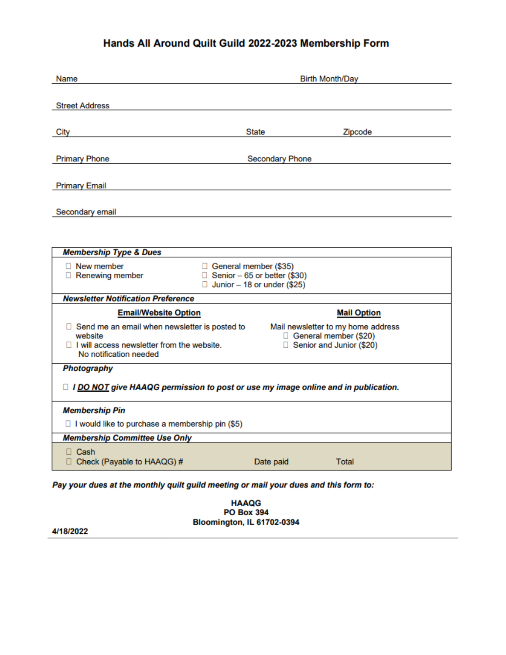#### Hands All Around Quilt Guild 2022-2023 Membership Form

| Name                                                                                                                                      | <b>Birth Month/Day</b>                                                                               |                        |                                                                                           |  |
|-------------------------------------------------------------------------------------------------------------------------------------------|------------------------------------------------------------------------------------------------------|------------------------|-------------------------------------------------------------------------------------------|--|
|                                                                                                                                           |                                                                                                      |                        |                                                                                           |  |
| <b>Street Address</b>                                                                                                                     |                                                                                                      |                        |                                                                                           |  |
| City                                                                                                                                      |                                                                                                      | <b>State</b>           | Zipcode                                                                                   |  |
| <b>Primary Phone</b>                                                                                                                      |                                                                                                      | <b>Secondary Phone</b> |                                                                                           |  |
| <b>Primary Email</b>                                                                                                                      |                                                                                                      |                        |                                                                                           |  |
| Secondary email                                                                                                                           |                                                                                                      |                        |                                                                                           |  |
|                                                                                                                                           |                                                                                                      |                        |                                                                                           |  |
| <b>Membership Type &amp; Dues</b>                                                                                                         |                                                                                                      |                        |                                                                                           |  |
| $\Box$ New member<br>$\Box$ Renewing member                                                                                               | □ General member (\$35)<br>$\Box$ Senior - 65 or better (\$30)<br>$\Box$ Junior - 18 or under (\$25) |                        |                                                                                           |  |
| <b>Newsletter Notification Preference</b>                                                                                                 |                                                                                                      |                        |                                                                                           |  |
| <b>Email/Website Option</b>                                                                                                               |                                                                                                      |                        | <b>Mail Option</b>                                                                        |  |
| □ Send me an email when newsletter is posted to<br>website<br>$\Box$ I will access newsletter from the website.<br>No notification needed |                                                                                                      |                        | Mail newsletter to my home address<br>General member (\$20)<br>□ Senior and Junior (\$20) |  |
| <b>Photography</b>                                                                                                                        |                                                                                                      |                        |                                                                                           |  |
| $\Box$ I DO NOT give HAAQG permission to post or use my image online and in publication.                                                  |                                                                                                      |                        |                                                                                           |  |
| <b>Membership Pin</b>                                                                                                                     |                                                                                                      |                        |                                                                                           |  |
| $\Box$ I would like to purchase a membership pin (\$5)                                                                                    |                                                                                                      |                        |                                                                                           |  |
| <b>Membership Committee Use Only</b>                                                                                                      |                                                                                                      |                        |                                                                                           |  |
| $\Box$ Cash<br>□ Check (Payable to HAAQG) #                                                                                               |                                                                                                      | Date paid              | Total                                                                                     |  |
| Pay your dues at the monthly quilt guild meeting or mail your dues and this form to:                                                      |                                                                                                      |                        |                                                                                           |  |

**HAAQG PO Box 394** Bloomington, IL 61702-0394

4/18/2022